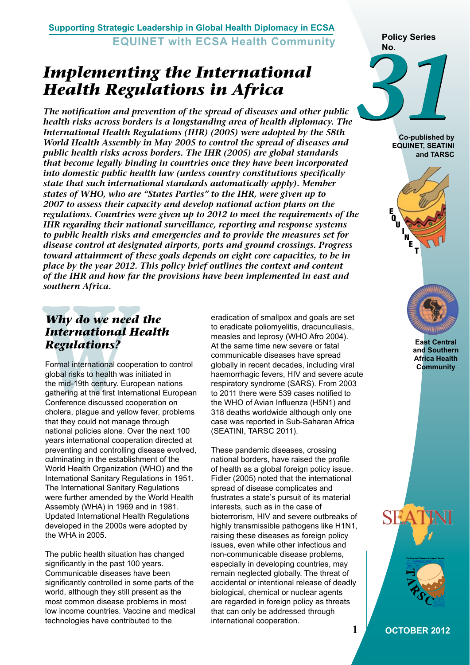**Supporting Strategic Leadership in Global Health Diplomacy in ECSA EQUINET with ECSA Health Community**

# *Implementing the International Health Regulations in Africa*

*The notification and prevention of the spread of diseases and other public health risks across borders is a longstanding area of health diplomacy. The International Health Regulations (IHR) (2005) were adopted by the 58th World Health Assembly in May 2005 to control the spread of diseases and public health risks across borders. The IHR (2005) are global standards that become legally binding in countries once they have been incorporated into domestic public health law (unless country constitutions specifically state that such international standards automatically apply). Member states of WHO, who are "States Parties" to the IHR, were given up to 2007 to assess their capacity and develop national action plans on the regulations. Countries were given up to 2012 to meet the requirements of the IHR regarding their national surveillance, reporting and response systems to public health risks and emergencies and to provide the measures set for disease control at designated airports, ports and ground crossings. Progress toward attainment of these goals depends on eight core capacities, to be in place by the year 2012. This policy brief outlines the context and content of the IHR and how far the provisions have been implemented in east and southern Africa.* 

## *Why do we need the International Health Regulations?*

**Why do we needle International I<br>
<b>Regulations?**<br>
Formal international coop<br>
global risks to health was<br>
the mid-19th century. Eur<br>
gathering at the first Inter<br>
Conference discussed co<br>
cholera, plague and yello Formal international cooperation to control global risks to health was initiated in the mid-19th century. European nations gathering at the first International European Conference discussed cooperation on cholera, plague and yellow fever, problems that they could not manage through national policies alone. Over the next 100 years international cooperation directed at preventing and controlling disease evolved, culminating in the establishment of the World Health Organization (WHO) and the International Sanitary Regulations in 1951. The International Sanitary Regulations were further amended by the World Health Assembly (WHA) in 1969 and in 1981. Updated International Health Regulations developed in the 2000s were adopted by the WHA in 2005.

The public health situation has changed significantly in the past 100 years. Communicable diseases have been significantly controlled in some parts of the world, although they still present as the most common disease problems in most low income countries. Vaccine and medical technologies have contributed to the

eradication of smallpox and goals are set to eradicate poliomyelitis, dracunculiasis, measles and leprosy (WHO Afro 2004). At the same time new severe or fatal communicable diseases have spread globally in recent decades, including viral haemorrhagic fevers, HIV and severe acute respiratory syndrome (SARS). From 2003 to 2011 there were 539 cases notified to the WHO of Avian Influenza (H5N1) and 318 deaths worldwide although only one case was reported in Sub-Saharan Africa (SEATINI, TARSC 2011).

These pandemic diseases, crossing national borders, have raised the profile of health as a global foreign policy issue. Fidler (2005) noted that the international spread of disease complicates and frustrates a state's pursuit of its material interests, such as in the case of bioterrorism, HIV and severe outbreaks of highly transmissible pathogens like H1N1, raising these diseases as foreign policy issues, even while other infectious and non-communicable disease problems, especially in developing countries, may remain neglected globally. The threat of accidental or intentional release of deadly biological, chemical or nuclear agents are regarded in foreign policy as threats that can only be addressed through international cooperation.



**Co-published by EQUINET, SEATINI and TARSC**





**East Central and Southern Africa Health Community**



**1 OCTOBER 2012**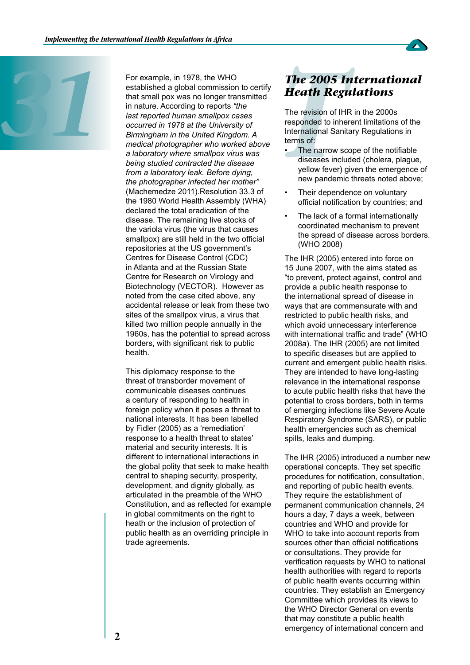

For example, in 1978, the WHO<br>established a global commission<br>that small pox was no longer trat<br>in nature. According to reports "t<br>last reported human smallpox ca<br>occurred in 1978 at the University<br>Birmingham in the United established a global commission to certify that small pox was no longer transmitted in nature. According to reports *"the last reported human smallpox cases occurred in 1978 at the University of Birmingham in the United Kingdom. A medical photographer who worked above a laboratory where smallpox virus was being studied contracted the disease from a laboratory leak. Before dying, the photographer infected her mother"*  (Machemedze 2011).Resolution 33.3 of the 1980 World Health Assembly (WHA) declared the total eradication of the disease. The remaining live stocks of the variola virus (the virus that causes smallpox) are still held in the two official repositories at the US government's Centres for Disease Control (CDC) in Atlanta and at the Russian State Centre for Research on Virology and Biotechnology (VECTOR). However as noted from the case cited above, any accidental release or leak from these two sites of the smallpox virus, a virus that killed two million people annually in the 1960s, has the potential to spread across borders, with significant risk to public health.

> This diplomacy response to the threat of transborder movement of communicable diseases continues a century of responding to health in foreign policy when it poses a threat to national interests. It has been labelled by Fidler (2005) as a 'remediation' response to a health threat to states' material and security interests. It is different to international interactions in the global polity that seek to make health central to shaping security, prosperity, development, and dignity globally, as articulated in the preamble of the WHO Constitution, and as reflected for example in global commitments on the right to heath or the inclusion of protection of public health as an overriding principle in trade agreements.

## *The 2005 International Heath Regulations*

The revision of IHR in the 2000s responded to inherent limitations of the International Sanitary Regulations in terms of:

- **The 2005 I**<br>**Heath Regi**<br>The revision of IH<br>responded to inhe<br>International Sani<br>terms of<br>The narrow so<br>diseases inclu<br>yellow fever)<br>new pandemic The narrow scope of the notifiable diseases included (cholera, plague, yellow fever) given the emergence of new pandemic threats noted above;
- Their dependence on voluntary official notification by countries; and
- The lack of a formal internationally coordinated mechanism to prevent the spread of disease across borders. (WHO 2008)

The IHR (2005) entered into force on 15 June 2007, with the aims stated as "to prevent, protect against, control and provide a public health response to the international spread of disease in ways that are commensurate with and restricted to public health risks, and which avoid unnecessary interference with international traffic and trade" (WHO 2008a). The IHR (2005) are not limited to specific diseases but are applied to current and emergent public health risks. They are intended to have long-lasting relevance in the international response to acute public health risks that have the potential to cross borders, both in terms of emerging infections like Severe Acute Respiratory Syndrome (SARS), or public health emergencies such as chemical spills, leaks and dumping.

The IHR (2005) introduced a number new operational concepts. They set specific procedures for notification, consultation, and reporting of public health events. They require the establishment of permanent communication channels, 24 hours a day, 7 days a week, between countries and WHO and provide for WHO to take into account reports from sources other than official notifications or consultations. They provide for verification requests by WHO to national health authorities with regard to reports of public health events occurring within countries. They establish an Emergency Committee which provides its views to the WHO Director General on events that may constitute a public health emergency of international concern and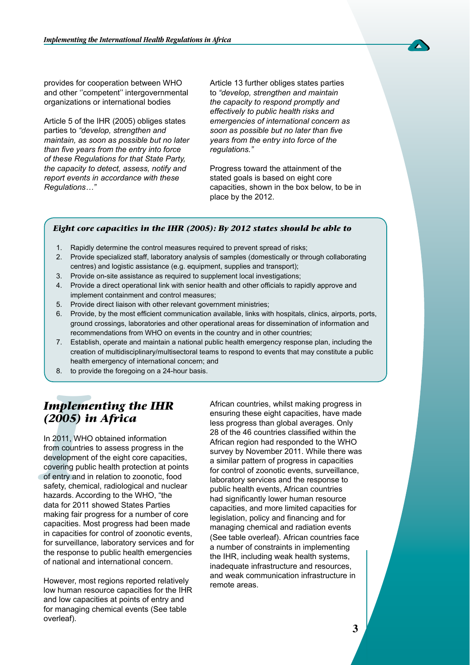provides for cooperation between WHO and other ''competent'' intergovernmental organizations or international bodies

Article 5 of the IHR (2005) obliges states parties to *"develop, strengthen and maintain, as soon as possible but no later than five years from the entry into force of these Regulations for that State Party, the capacity to detect, assess, notify and report events in accordance with these Regulations…"*

Article 13 further obliges states parties to *"develop, strengthen and maintain the capacity to respond promptly and effectively to public health risks and emergencies of international concern as soon as possible but no later than five years from the entry into force of the regulations."*

Progress toward the attainment of the stated goals is based on eight core capacities, shown in the box below, to be in place by the 2012.

#### *Eight core capacities in the IHR (2005): By 2012 states should be able to*

- 1. Rapidly determine the control measures required to prevent spread of risks;
- 2. Provide specialized staff, laboratory analysis of samples (domestically or through collaborating centres) and logistic assistance (e.g. equipment, supplies and transport);
- 3. Provide on-site assistance as required to supplement local investigations;
- 4. Provide a direct operational link with senior health and other officials to rapidly approve and implement containment and control measures;
- 5. Provide direct liaison with other relevant government ministries;
- 6. Provide, by the most efficient communication available, links with hospitals, clinics, airports, ports, ground crossings, laboratories and other operational areas for dissemination of information and recommendations from WHO on events in the country and in other countries;
- 7. Establish, operate and maintain a national public health emergency response plan, including the creation of multidisciplinary/multisectoral teams to respond to events that may constitute a public health emergency of international concern; and
- 8. to provide the foregoing on a 24-hour basis.

## *Implementing the IHR (2005) in Africa*

*Implem*<br>
(2005)<br>
In 2011, WH<br>
from countri<br>
developmen<br>
covering pul<br>
of entry and<br>
safety, chem<br>
hazards. Ac In 2011, WHO obtained information from countries to assess progress in the development of the eight core capacities, covering public health protection at points of entry and in relation to zoonotic, food safety, chemical, radiological and nuclear hazards. According to the WHO, "the data for 2011 showed States Parties making fair progress for a number of core capacities. Most progress had been made in capacities for control of zoonotic events, for surveillance, laboratory services and for the response to public health emergencies of national and international concern.

However, most regions reported relatively low human resource capacities for the IHR and low capacities at points of entry and for managing chemical events (See table overleaf).

African countries, whilst making progress in ensuring these eight capacities, have made less progress than global averages. Only 28 of the 46 countries classified within the African region had responded to the WHO survey by November 2011. While there was a similar pattern of progress in capacities for control of zoonotic events, surveillance, laboratory services and the response to public health events, African countries had significantly lower human resource capacities, and more limited capacities for legislation, policy and financing and for managing chemical and radiation events (See table overleaf). African countries face a number of constraints in implementing the IHR, including weak health systems, inadequate infrastructure and resources, and weak communication infrastructure in remote areas.